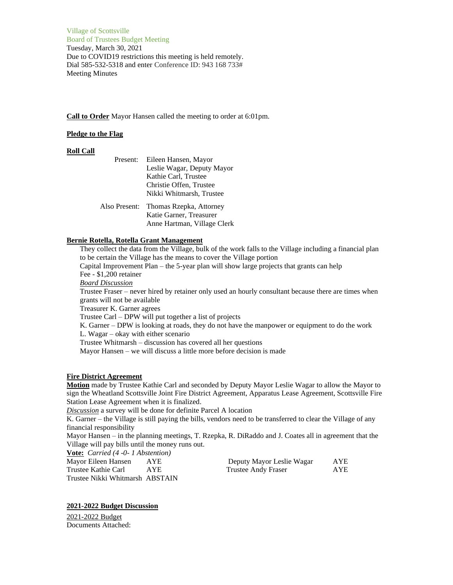Village of Scottsville Board of Trustees Budget Meeting Tuesday, March 30, 2021 Due to COVID19 restrictions this meeting is held remotely. Dial 585-532-5318 and enter Conference ID: 943 168 733# Meeting Minutes

## **Call to Order** Mayor Hansen called the meeting to order at 6:01pm.

## **Pledge to the Flag**

### **Roll Call**

| Present:      | Eileen Hansen, Mayor        |  |
|---------------|-----------------------------|--|
|               | Leslie Wagar, Deputy Mayor  |  |
|               | Kathie Carl, Trustee        |  |
|               | Christie Offen, Trustee     |  |
|               | Nikki Whitmarsh, Trustee    |  |
| Also Present: | Thomas Rzepka, Attorney     |  |
|               | Katie Garner, Treasurer     |  |
|               | Anne Hartman, Village Clerk |  |

## **Bernie Rotella, Rotella Grant Management**

They collect the data from the Village, bulk of the work falls to the Village including a financial plan to be certain the Village has the means to cover the Village portion

Capital Improvement Plan – the 5-year plan will show large projects that grants can help Fee - \$1,200 retainer

*Board Discussion*

Trustee Fraser – never hired by retainer only used an hourly consultant because there are times when grants will not be available

Treasurer K. Garner agrees

Trustee Carl – DPW will put together a list of projects

K. Garner – DPW is looking at roads, they do not have the manpower or equipment to do the work

L. Wagar – okay with either scenario

Trustee Whitmarsh – discussion has covered all her questions

Mayor Hansen – we will discuss a little more before decision is made

#### **Fire District Agreement**

**Motion** made by Trustee Kathie Carl and seconded by Deputy Mayor Leslie Wagar to allow the Mayor to sign the Wheatland Scottsville Joint Fire District Agreement, Apparatus Lease Agreement, Scottsville Fire Station Lease Agreement when it is finalized.

*Discussion* a survey will be done for definite Parcel A location

K. Garner – the Village is still paying the bills, vendors need to be transferred to clear the Village of any financial responsibility

Mayor Hansen – in the planning meetings, T. Rzepka, R. DiRaddo and J. Coates all in agreement that the Village will pay bills until the money runs out.

**Vote:** *Carried (4 -0- 1 Abstention)*

| Mayor Eileen Hansen             | AYE  | Deputy Mayor Leslie Wagar | <b>AYE</b> |
|---------------------------------|------|---------------------------|------------|
| Trustee Kathie Carl             | AYE. | Trustee Andy Fraser       | AYE        |
| Trustee Nikki Whitmarsh ABSTAIN |      |                           |            |

#### **2021-2022 Budget Discussion**

2021-2022 Budget Documents Attached: